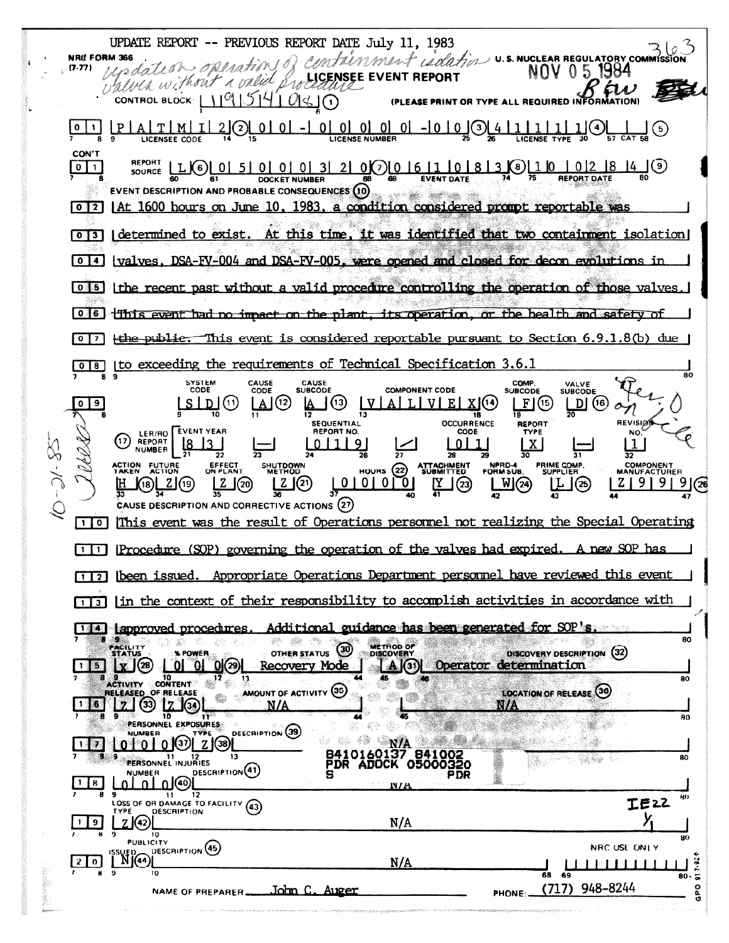UPDATE REPORT -- PREVIOUS REPORT DATE July 11, 1983 Containment coulation v.s. NUCLEAR REGULATORY COMMISSION **NRC FORM 366** undation operation of  $(7.77)$ values without a valid proceedure EVENT REPORT CONTROL BLOCK 119151410140 (PLEASE PRINT OR TYPE ALL REQUIRED INFORE  $|P|A|T|M|I|2|Q$ CON'T **REPORT**  $|0|1|$ **DOCKET NUMBER** SK F **EVENT DESCRIPTION AND PROBABLE CONSEQUENCES (10)** 0 <sup>2</sup> | At 1600 hours on June 10, 1983, a condition considered prompt reportable was [0]3] determined to exist. At this time, it was identified that two containment isolation [0] 4] valves, DSA-FV-004 and DSA-FV-005, were opened and closed for decon evolutions in 0 [5] [the recent past without a valid procedure controlling the operation of those valves 0.6 This event had no impact on the plant, its operation, or the health and safety of  $\lceil \circ \rceil$  + the public. This event is considered reportable pursuant to Section 6.9.1.8(b) due [0]8] [to exceeding the requirements of Technical Specification 3.6.1 SYSTEM<br>CODE CAUSE<br>CODE **CAUSE**<br>SUBCODE COMP.<br>SUBCODE VALVE<br>SUBCODE **COMPONENT CODE**  $Lslb(\theta)$ <u>AJ</u> (12)  $LI(5)$  $D(G)$ **၂**(၁) <u>ALUEX(14)</u>  $0$  |  $9$  $|V|$ **OCCURRENCE SEQUENTIAL REPORT REVISIØT** ERIAO EVENT YEAR REPORT NO. CODE TYPE **NO**  $01119$  $0|1|$ <u>l8</u> **NUMBER**  $\overline{27}$ 28  $\overline{31}$ 32 PRIME COMP.<br>SUPPLIER **COMPONENT**<br>MANUFACTURER **ATTACHMENT**<br>SUBMITTED ACTION FUTURE SHUTDOWN<br>METHOD NPRD-4<br>FORM SUB HOURS  $(22)$ <u>Lotorol</u>  $9(26)$  $Z(20)$  $\frac{1}{41}$  $W(24)$  $Z$ | 9| 9|  $L(\mathfrak{D})$ 」 (23) \_ZJ(19) LL (25) (18)[ CAUSE DESCRIPTION AND CORRECTIVE ACTIONS (27) [1] This event was the result of Operations personnel not realizing the Special Operating [1] Procedure (SOP) governing the operation of the valves had expired. A new SOP has [1] [2] [been issued. Appropriate Operations Department personnel have reviewed this event [1] [in the context of their responsibility to accomplish activities in accordance with Additional guidance has been generated for SOP's. 14 approved procedures 80 **METHOD OF** ශ DISCOVERY DESCRIPTION (32) **OTHER STATUS X POWER**  $x(28)$  0 0 0  $(29)$  $\begin{bmatrix} A & 0 \end{bmatrix}$ Operator determination  $15$ Recovery Mode 9<br>Activity Content 80 AMOUNT OF ACTIVITY (35) RELEASED OF RELEASE **LOCATION OF RELEASE (30) 卷 畫**  $\bar{z}$  (  $\bar{z}$  )  $\bar{z}$  )  $\bar{z}$ N/A PERSONNEL EXPOSURES 44 80 春藤 DESCRIPTION (39) NUMBER  $0100229$ **NA .....** e stat  $\mathbf{r}$ 8410160137 841002 **PERSONNEL INJURIES**  $13$ er by RΩ DESCRIPTION(41) **NUMBER PDR** பு ⊓⊚ B. NIE  $\overline{11}$  $12$ 9<br>LOSS OF OR DAMAGE TO FACILITY (43) **HD TE22** DESCRIPTION  $2(42)$  $N/A$  $\vert$  9 **PUBLICITY** DESCRIPTION (45) NRC USE ONLY  $N(44)$  $N/A$  $201$ RO-(717) 948-8244 John C. Auger NAME OF PREPARER PHONE: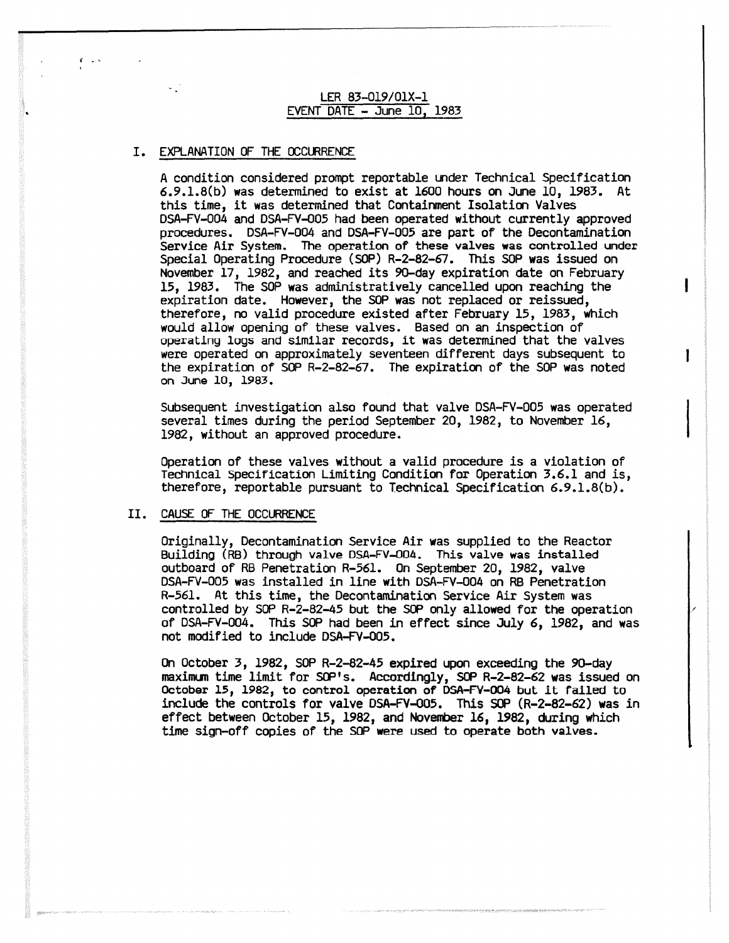LER 83-019/01X-1 EVENT DATE - June 10. 1983

# I. EXPLANATION OF THE OCCURRENCE

A condition considered prompt reportable under Technical Specification 6.9.1.8(b) was determined to exist at 1600 hours on June 10, 1983. At this time, it was determined that Containment Isolation Valves DSA-FV-004 and DSA-FV-005 had been operated without currently approved procedures. DSA-FV-004 and DSA-FV-005 are part of the Decontamination Service Air System. The operation of these valves was controlled under Special Operating Procedure (SOP) R-2-82-67. This SOP was issued on November 17, 1982, and reached its 90-day expiration date on February 15, 1983. The SOP was administratively cancelled upon reaching the expiration date. However, the SOP was not replaced or reissued, therefore, no valid procedure existed after February 15, 1983, which would allow opening of these valves. Based on an inspection of operating logs and similar records, it was determined that the valves were operated on approximately seventeen different days subsequent to the expiration of SOP R-2-82-67. The expiration of the SOP was noted on June 10, 1983.

Subsequent investigation also found that valve DSA-FV-005 was operated several times during the period September 20, 1982, to November 16, 1982, without an approved procedure.

ı

Operation of these valves without a valid procedure is a violation of Technical specification Limiting Condition for Operation 3.6.1 and is, therefore, reportable pursuant to Technical Specification 6.9.1.8(b).

### II. CAUSE OF THE OCCURRENCE

Originally, Decontamination Service Air was supplied to the Reactor Building (RB) through valve DSA-FV-004. This valve was installed outboard of RB Penetration R-561. On September 20, 1982, valve DSA-FV-005 was installed in line with DSA-FV-004 on RB Penetration R-561. At this time, the Decontamination Service Air System was controlled by SOP R-2-82-45 but the SOP only allowed for the operation of DSA-FV-004. This SOP had been in effect since July 6, 1982, and was not modified to include DSA-FV-005.

On October 3, 1982, SOP R-2-82-45 expired upon exceeding the 90-day maxima time limit for SOP's. Accordingly, SOP R-2-82-62 was issued on October 15, 1982, to control operation of DSA-FV-004 but it failed to include the controls for valve DSA-FV-005. This SOP (R-2-82-62) was in effect between October 15, 1982, and November 16, 1982, during which time sign-off copies of the SOP were used to operate both valves.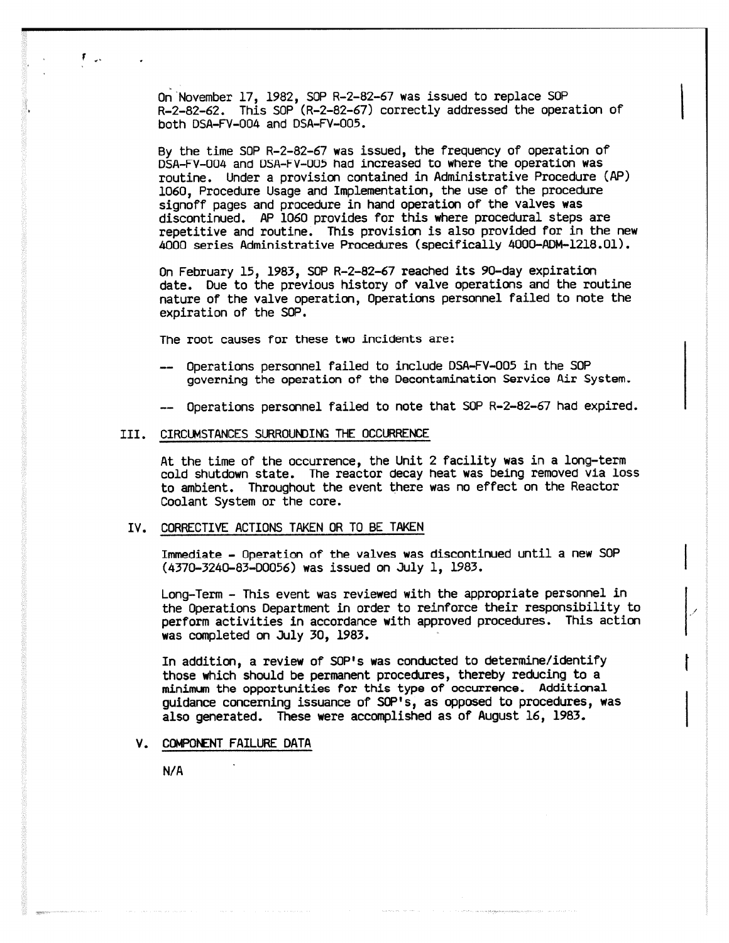On November 17, 1982, SOP R-2-82-67 was issued to replace SOP R-2-82-62. This SOP (R-2-82-67) correctly addressed the operation of both DSA-FV-004 and DSA-FV-005.

By the time SOP R-2-82-67 was issued, the frequency of operation of D5A-FV-004 and USA-FV-UU5 had increased to where the operation was routine. Under a provision contained in Administrative Procedure (AP) 1060, Procedure Usage and Implementation, the use of the procedure signoff pages and procedure in hand operation of the valves was discontinued. AP 1060 provides for this where procedural steps are repetitive and routine. This provision is also provided for in the new 4000 series Administrative Procedures (specifically 4000-ADM-1218.01).

On February 15, 1983, SOP R-2-82-67 reached its 90-day expiration date. Due to the previous history of valve operations and the routine nature of the valve operation, Operations personnel failed to note the expiration of the SOP.

The root causes for these two incidents are;

- Operations personnel failed to include DSA-FV-005 in the SOP governing the operation of the Decontamination Service Air System.
- -- Operations personnel failed to note that SOP R-2-82-67 had expired.

#### III. CIRCUMSTANCES SURROUNDING THE OCCURRENCE

At the time of the occurrence, the Unit 2 facility was in a long-term cold shutdown state. The reactor decay heat was being removed via loss to ambient. Throughout the event there was no effect on the Reactor Coolant System or the core.

## IV. CORRECTIVE ACTIONS TAKEN OR TO BE TAKEN

Immediate - Operation of the valves was discontinued until a new SOP (4370-3240-83-00056) was issued on July 1, 1983.

Long-Term - This event was reviewed with the appropriate personnel in the Operations Department in order to reinforce their responsibility to perform activities in accordance with approved procedures. This action was completed on July 30, 1983.

In addition, a review of SOP's was conducted to determine/identify those which should be permanent procedures, thereby reducing to a minimum the opportunities for this type of occurrence. Additional guidance concerning issuance of SOP's, as opposed to procedures, was also generated. These were accomplished as of August 16, 1983.

#### V. COMPONENT FAILURE DATA

 $N/A$